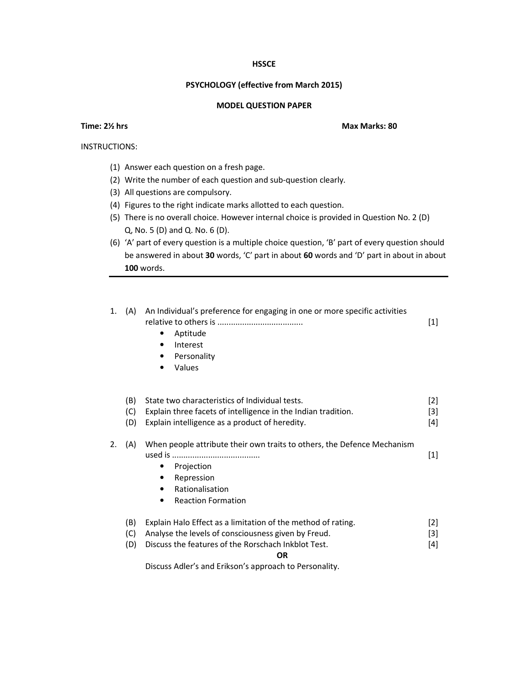## **HSSCE**

## **PSYCHOLOGY (effective from March 2015)**

## **MODEL QUESTION PAPER**

INSTRUCTIONS:

- (1) Answer each question on a fresh page.
- (2) Write the number of each question and sub-question clearly.
- (3) All questions are compulsory.
- (4) Figures to the right indicate marks allotted to each question.
- (5) There is no overall choice. However internal choice is provided in Question No. 2 (D) Q, No. 5 (D) and Q. No. 6 (D).
- (6) 'A' part of every question is a multiple choice question, 'B' part of every question should be answered in about **30** words, 'C' part in about **60** words and 'D' part in about in about **100** words.

| 1. | (A)        | An Individual's preference for engaging in one or more specific activities<br>Aptitude<br>Interest<br>٠<br>Personality<br>٠<br>Values<br>$\bullet$ | $[1]$             |
|----|------------|----------------------------------------------------------------------------------------------------------------------------------------------------|-------------------|
|    | (B)        | State two characteristics of Individual tests.                                                                                                     | $\lceil 2 \rceil$ |
|    | (C)        | Explain three facets of intelligence in the Indian tradition.                                                                                      | $[3]$             |
|    | (D)        | Explain intelligence as a product of heredity.                                                                                                     | $[4]$             |
|    |            |                                                                                                                                                    |                   |
| 2. | (A)        | When people attribute their own traits to others, the Defence Mechanism                                                                            |                   |
|    |            |                                                                                                                                                    | $[1]$             |
|    |            | Projection                                                                                                                                         |                   |
|    |            | Repression                                                                                                                                         |                   |
|    |            | Rationalisation<br>٠                                                                                                                               |                   |
|    |            | <b>Reaction Formation</b><br>$\bullet$                                                                                                             |                   |
|    | (B)        | Explain Halo Effect as a limitation of the method of rating.<br>Analyse the levels of consciousness given by Freud.                                | $\lceil 2 \rceil$ |
|    | (C)<br>(D) | Discuss the features of the Rorschach Inkblot Test.                                                                                                | $[3]$<br>$[4]$    |
|    |            | <b>OR</b>                                                                                                                                          |                   |
|    |            | Discuss Adler's and Erikson's approach to Personality.                                                                                             |                   |

**Time: 2½ hrs** Max Marks: 80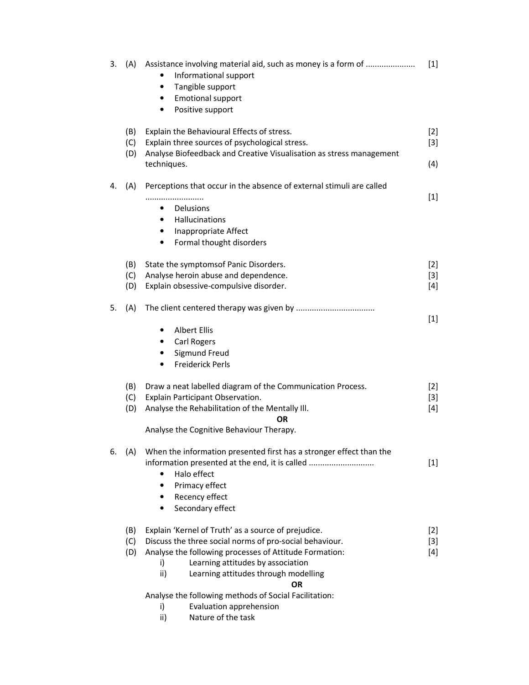| 3. | (A)        | Assistance involving material aid, such as money is a form of<br>Informational support<br>٠<br>Tangible support<br>٠<br><b>Emotional support</b><br>$\bullet$<br>Positive support<br>٠ | $[1]$ |
|----|------------|----------------------------------------------------------------------------------------------------------------------------------------------------------------------------------------|-------|
|    | (B)        | Explain the Behavioural Effects of stress.                                                                                                                                             | $[2]$ |
|    | (C)<br>(D) | Explain three sources of psychological stress.<br>Analyse Biofeedback and Creative Visualisation as stress management                                                                  | $[3]$ |
|    |            | techniques.                                                                                                                                                                            | (4)   |
| 4. | (A)        | Perceptions that occur in the absence of external stimuli are called                                                                                                                   |       |
|    |            |                                                                                                                                                                                        | $[1]$ |
|    |            | Delusions<br>$\bullet$<br>Hallucinations<br>٠                                                                                                                                          |       |
|    |            | Inappropriate Affect<br>$\bullet$                                                                                                                                                      |       |
|    |            | Formal thought disorders<br>$\bullet$                                                                                                                                                  |       |
|    | (B)        | State the symptomsof Panic Disorders.                                                                                                                                                  | $[2]$ |
|    | (C)        | Analyse heroin abuse and dependence.                                                                                                                                                   | $[3]$ |
|    | (D)        | Explain obsessive-compulsive disorder.                                                                                                                                                 | $[4]$ |
| 5. | (A)        |                                                                                                                                                                                        | $[1]$ |
|    |            | <b>Albert Ellis</b><br>٠                                                                                                                                                               |       |
|    |            | Carl Rogers                                                                                                                                                                            |       |
|    |            | <b>Sigmund Freud</b>                                                                                                                                                                   |       |
|    |            | <b>Freiderick Perls</b>                                                                                                                                                                |       |
|    | (B)        | Draw a neat labelled diagram of the Communication Process.                                                                                                                             | $[2]$ |
|    | (C)        | Explain Participant Observation.                                                                                                                                                       | $[3]$ |
|    | (D)        | Analyse the Rehabilitation of the Mentally III.<br><b>OR</b>                                                                                                                           | $[4]$ |
|    |            | Analyse the Cognitive Behaviour Therapy.                                                                                                                                               |       |
| 6. | (A)        | When the information presented first has a stronger effect than the                                                                                                                    |       |
|    |            | information presented at the end, it is called                                                                                                                                         | $[1]$ |
|    |            | Halo effect                                                                                                                                                                            |       |
|    |            | Primacy effect<br>٠<br>Recency effect<br>٠                                                                                                                                             |       |
|    |            | Secondary effect<br>$\bullet$                                                                                                                                                          |       |
|    |            |                                                                                                                                                                                        |       |
|    | (B)        | Explain 'Kernel of Truth' as a source of prejudice.                                                                                                                                    | $[2]$ |
|    | (C)        | Discuss the three social norms of pro-social behaviour.                                                                                                                                | $[3]$ |
|    | (D)        | Analyse the following processes of Attitude Formation:<br>Learning attitudes by association<br>i)                                                                                      | $[4]$ |
|    |            | ii)<br>Learning attitudes through modelling                                                                                                                                            |       |
|    |            | <b>OR</b>                                                                                                                                                                              |       |
|    |            | Analyse the following methods of Social Facilitation:                                                                                                                                  |       |
|    |            | Evaluation apprehension<br>i)                                                                                                                                                          |       |
|    |            | Nature of the task<br>ii)                                                                                                                                                              |       |